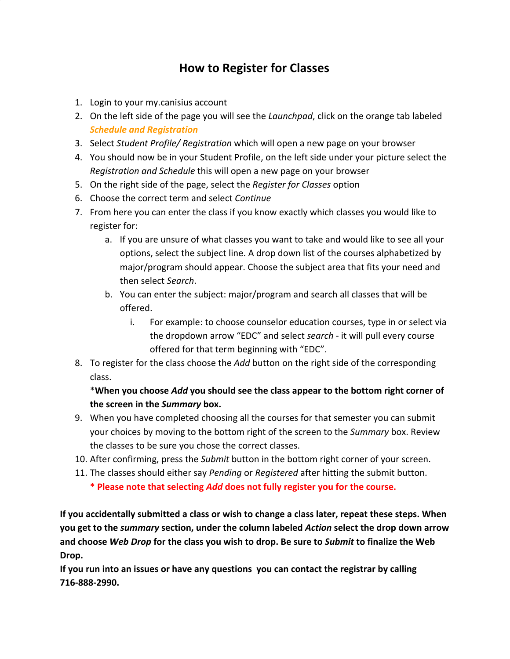## **How to Register for Classes**

- 1. Login to your my.canisius account
- 2. On the left side of the page you will see the *Launchpad*, click on the orange tab labeled *Schedule and Registration*
- 3. Select *Student Profile/ Registration* which will open a new page on your browser
- 4. You should now be in your Student Profile, on the left side under your picture select the *Registration and Schedule* this will open a new page on your browser
- 5. On the right side of the page, select the *Register for Classes* option
- 6. Choose the correct term and select *Continue*
- 7. From here you can enter the class if you know exactly which classes you would like to register for:
	- a. If you are unsure of what classes you want to take and would like to see all your options, select the subject line. A drop down list of the courses alphabetized by major/program should appear. Choose the subject area that fits your need and then select *Search*.
	- b. You can enter the subject: major/program and search all classes that will be offered.
		- i. For example: to choose counselor education courses, type in or select via the dropdown arrow "EDC" and select *search* - it will pull every course offered for that term beginning with "EDC".
- 8. To register for the class choose the *Add* button on the right side of the corresponding class.

## \***When you choose** *Add* **you should see the class appear to the bottom right corner of the screen in the** *Summary* **box.**

- 9. When you have completed choosing all the courses for that semester you can submit your choices by moving to the bottom right of the screen to the *Summary* box. Review the classes to be sure you chose the correct classes.
- 10. After confirming, press the *Submit* button in the bottom right corner of your screen.
- 11. The classes should either say *Pending* or *Registered* after hitting the submit button. **\* Please note that selecting** *Add* **does not fully register you for the course.**

**If you accidentally submitted a class or wish to change a class later, repeat these steps. When you get to the** *summary* **section, under the column labeled** *Action* **select the drop down arrow and choose** *Web Drop* **for the class you wish to drop. Be sure to** *Submit* **to finalize the Web Drop.**

**If you run into an issues or have any questions you can contact the registrar by calling 716-888-2990.**